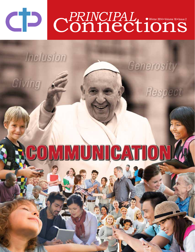# $\begin{array}{ccc} \text{max} & \text{max} \end{array}$  $\bigcap_{n\geq 1}^{\lfloor n\rfloor}$ CONT Winter 2014 • Volume 18 • Issue 2

Generosity

Respect

**Inclusion** 

Giving

# COMMUNICATIONA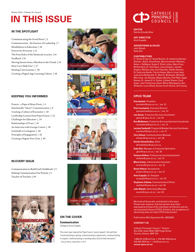# **IN THIS ISSUE**

#### **IN THE SPOTLIGHT**

Communicating the Good News! | 5 Communication - the Essence of Leadership | 7 Mindfulness in Education | 10 Forever for Everyone | 12 The Four Roles of the Numerate Learner | 16 Feedback | 18 Moving Stories from a Shoebox to the Clouds | 24 How Can I Help You? | 27 Healing Conversations | 30 Creating a Digital-Age Learning Culture | 48

### **KEEPING YOU INFORMED**

Francis - a Pope of Many Firsts | 4 Emotionally "Smart" Communication | 6 Creating a Culture of Encounter | 20 Leadership Lessons from Pope Francis | 22 Challenges for Educators | 34 Relationships of Trust | 36 An Interview with George Couros | 38 Gratitude is Contagious | 40 Principles of Engagement | 42 Creating a Stigma-Free Zone | 46

#### **IN EVERY ISSUE**

Communication to Build God's Faithbook! | 2 Making Communication Our Priority | 3 Teacher of Teachers | 44











#### **ON THE COVER**

**Communication** Collage by Ania Czupajlo

The cover was inspired by Pope Francis' recent speech. He said that, "communicating is giving; communicating is generosity; communicating is respect; communicating is avoiding every kind of discrimination." ~ Vatican News, September 5, 2014



#### **EDITOR**

Deirdre Kinsella Biss

**ART DIRECTOR** Ania Czupajlo

**ADVERTISING & SALES** John Nijmeh Gaby Aloi

#### **CONTRIBUTORS**

Fr. Santo Arrigo, Dr. Daniel Becker, Dr. Katherine Becker, Glenda L. Black, Anne Burke, Maria Cantalini-Williams, Helen J. DeWaard, Susan E. Elliott-Johns, Mary Fiore, Bill Gartland, Dr. Avis Glaze, Jenny Guibert, Janette Hughes, Melissa Jean, Ann Kajander, Debbie Kasman, Dr. Kateryna Keefer, Patrick Keyes, Maria Luisa Lebar, Jody Anne McDonald, Dr. Mark G. McGowan, Michelle Morrissey, Jan Murphy, Megan Murphy, Paul Nalli, Aggie Nemes, Dr. James D. A. Parker, Colleen Sharen, Carol Soper, Joan Tschernow, Dawn-Marie Wemigwans, Ron Wideman, Laura Wood, Doreen Scott-Dunne, Clint Young

#### **CPCO TEAM**

| <b>Pam Garbutt, President</b>                                                                        |
|------------------------------------------------------------------------------------------------------|
| president@cpco.on.ca   ext. 22                                                                       |
| <b>Paul Lacalamita, Executive Director</b><br>placalamita@cpco.on.ca   ext. 23                       |
| Joe Geiser, Protective Services Coordinator<br>jgeiser@cpco.on.ca   ext. 34                          |
| <b>Ron McNamara, Protective Services Assistant Coordinator</b><br>$r$ mcnamara@cpco.on.ca   ext. 27  |
| Luciana Cardarelli, Program & Member Services Coordinator<br>lcardarelli@cpco.on.ca   ext. 37        |
| <b>Terry Simzer, Communications Manager</b><br>$tsimzer@cpco.$ on.ca   ext. 38                       |
| Deirdre Kinsella Biss, Editor<br>dkinsellabiss@cpco.on.ca                                            |
| <b>Gaby Aloi, Manager of Corporate Operations</b><br>$galoi@cpco.$ on.ca   ext. 26                   |
| <b>Vanessa Kellow, Professional Learning Assistant</b><br>vkellow@cpco.on.ca   ext. 31               |
| <b>Maria Cortez, Administrative Assistant</b><br>$m\text{correct}$ e $q\text{cpco.}$ on.ca   ext. 32 |
| <b>Bessy Valerio, Receptionist</b><br>bvalerio@cpco.on.ca   ext. 21                                  |
| Ania Czupajlo, Sr. Designer<br>aczupajlo@cpco.on.ca   ext. 25                                        |
| <b>Stephanie Zakhem, Communications Officer</b><br>szakhem@cpco.on.ca   ext. 30                      |
| <b>John Nijmeh, Advertising Manager</b><br>events@cpco.on.ca   ext. 28                               |

We thank all those who contributed to this issue. Please note, however, that the opinions and views expressed are those of the individual contributors and are not necessarily those of CPCO. Similarly, the acceptance of advertising does not imply CPCO endorsement.

Publications Mail Agreement No. 40035635

#### **CONTACT US**

Catholic Principals' Council | Ontario Box 2325, Suite 3030, 2300 Yonge Street Toronto, Ontario M4P 1E4

1.888.621.9190 toll free • 416.483.1556 phone 416.483.2554 fax • info@cpco.on.ca **www.cpco.on.ca**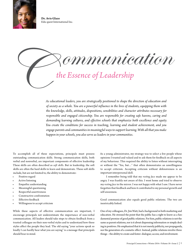

**Dr. Avis Glaze** Edu-quest International Inc.



*As educational leaders, you are strategically positioned to shape the direction of education and of society as a whole. You are a powerful influence in the lives of students, equipping them with the knowledge, skills, attitudes, dispositions, sensibilities and character attributes necessary for responsible and engaged citizenship. You are responsible for creating safe havens, caring and demanding learning cultures, and effective schools that emphasize both excellence and equity. You create the conditions for success in teaching, learning and student achievement, and you engage parents and communities in meaningful ways to support learning. With all that you make happen in your schools, you also serve as leaders in your communities.* 

To accomplish all of these expectations, principals must possess outstanding communication skills. Strong communication skills, both verbal and nonverbal, are important components of effective leadership. These skills are often described as *soft skills*. But in leadership, the soft skills are often the hard skills to learn and demonstrate. These soft skills include, but are not limited to, the ability to demonstrate:

- Positive regard
- Active listening
- Empathic understanding
- Meaningful questioning
- Respectful assertiveness
- Constructive confrontation
- **Effective** feedback
- Willingness to accept criticism

While these aspects of effective communication are important, I encourage principals not underestimate the importance of non-verbal communication. All leaders should take steps to obtain feedback from a trusted colleague on their non-verbal styles and to understand how these styles affect the people they lead. The old saying "your actions speak so loudly I can hardly hear what you are saying" is a message that principals should bear in mind.

As a young administrator, my strategy was to select a few people whose opinions I trusted and valued and to ask them for feedback on all aspects of my behaviour. This required the ability to listen without interrupting or without the "Yes, but…" that often demonstrates an unwillingness to accept criticism. Accepting criticism without defensiveness is an important interpersonal skill.

I remember being told that my *resting face* made me appear to be angry. I was frankly not aware of this. I went home and tried to observe my *resting face* in the mirror. I was not happy with what I saw. I have never forgotten that feedback and how it contributed to my personal growth and self-awareness.

Good communication also equals good public relations. The two are inextricably linked.

One of my colleagues, Dr. Jim Watt, had a background in both marketing and education. He stressed the point that the public has a right to know as a fundamental premise of good public relations. For him, public relations is not the same as parent relations, nor is it about dispensing information or simply dealing in positives. He emphasized that it is not merely publicity, nor propaganda, nor the generation of a cosmetic effect. Instead, public relations involve three things – the ability to create and foster: dialogue; access; and involvement.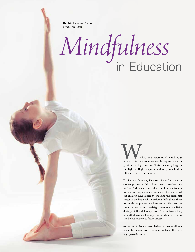**Debbie Kasman**, Author *Lotus of the Heart*

# *Mindfulness*  in Education

We live in a stress-filled world. Our<br>
modern lifestyle contains media exposure and a<br>
great deal of high presence. This constant interiors great deal of high pressure. This constantly triggers the fight or flight response and keeps our bodies filled with stress hormones.

Dr. Patricia Jennings, Director of the Initiative on Contemplation and Education at the Garrison Institute in New York, maintains that it's hard for children to learn when they are under too much stress. Stressedout children have difficulty engaging the prefrontal cortex in the brain, which makes it difficult for them to absorb and process new information. She also says that exposure to stress can trigger emotional reactivity during childhood development. This can have a longterm effect because it changes the way children's brains and bodies respond to future stressors.

As the result of our stress-filled world, many children come to school with nervous systems that are *unprepared to learn*.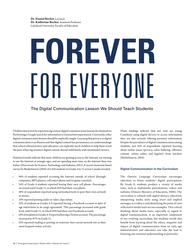# **Forever** FOR EVERYUNE

## The Digital Communication Lesson We Should Teach Students

Children learn best by experiencing certain digital communication lessons for themselves. Performing a Google search for information is a lesson best experienced. Conversely, other digital communication lessons should be explicitly taught. Learning that privacy in digital communication is an illusion and that digital content has permanency are understandings that school administrators and educators can explicitly teach children to help them avoid the pain of having sensitive digital content shared indefinitely with unintended viewers.

Statistical trends indicate that more children are gaining access to the Internet, are starting to use the Internet at younger ages, and are spending more time on the Internet than ever before (Directorate for Science, Technology and Industry, 2011). A recent classroom-based survey by MediaSmarts (2014) of 5,436 students in Grades 4 to 11 across Canada revealed:

- 99% of students reported accessing the Internet outside of school (through computers, MP3 players, cell/smart phone and/or game consoles).
- 24% of Grade 4 students reported having their own cell phone. Percentages increased until Grade 11, in which 85% had their own phone.
- 38% of respondents reported using networked tools to post their own artwork or stories.
- 33% reported posting audio or video clips online.
- 32% of students in Grades 4-6 reported having a Facebook account in spite of age restrictions in its usage agreement. This percentage increased with grade level, until Grade 11, in which 95% had their own Facebook account.
- 16% of students in Grades 4-6 reported having a Twitter account. The percentage increased to 67% in Grade 11.
- 52% reported reading or posting on someone else's social network site as their most frequent online activity.

These findings indicate that not only are young Canadians using digital devices to access information, they are also actively offering personal information. Despite the prevalence of digital communication among students, just 41% of respondents reported learning about online issues (privacy, cyber bullying, offensive content, online safety and legality) from teachers (MediaSmarts, 2014).

#### **Digital Communication in the Curriculum**

The Ontario Language Curriculum encourages educators to foster students' digital participation. By Grade 8, students produce a variety of media texts, such as multimedia presentations, videos and websites (Ontario Ministry of Education, 2006). The curriculum is infused with digital literacy education; interpreting media texts using overt and implied messages as evidence and identifying the point of view reflected in media texts are two examples. This critical thinking about media texts, especially in regard to digital communication, is an important component of our evolving curriculum, but students would also benefit from learning about the ethics, etiquette and impact of digital communication from an early age. Administrators and educators can take the lead in fostering one essential understanding in particular.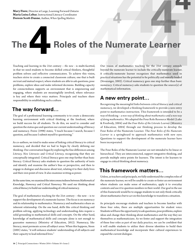**Mary Fiore**, Director at Large, Learning Forward Ontario **Maria Luisa Lebar**, Instructional Literacy Coordinator **Doreen Scott-Dunne**, Author, *When Spelling Matters*

# **The Roles of the Numerate Learner**

Teaching and learning in the 21st century – *the now* - is multi-facetted, in that we need students to become skilled critical thinkers, thoughtful problem solvers and reflective communicators. To achieve this vision, teachers strive to create a connected classroom culture; one that is built on trust and mutual respect, where students are able to ask questions, pose problems, explore ideas and make informed decisions. Building capacity for connectedness supports an environment that is empowering and engaging, where students are meaningfully involved, where relevance is key and where their voice matters. Principals and teachers share responsibility in establishing such a culture.

# **The way forward…**

The goal of a professional learning community is to create a democratic learning environment with critical thinking at the forefront, where we build success for all students. To do this, we need to consider and question the status quo and question our current understanding of literacy and numeracy. Freire (1998) states, "I teach because I search, because I question, and because I submit myself to questioning."

As co-authors, we tried to make sense of linking critical literacy to critical numeracy, and decided that we had to begin by clearly defining our thinking. Our conversation began by exploring the fine differences among *Literacy, New Literacies* and *Critical Literacy*, recognizing that they are conceptually integrated. Critical literacy goes one step further than basic literacy. Critical literacy asks students to question the authority of texts and identify and examine the author's bias or perspective, and then to engage in dialogue and discourse about text, relating it to their daily lives and their own point of view. It also examines writing as power.

At the same time, we examined the interconnectedness between *Mathematical Knowledge, Numeracy* and *Critical Numeracy*. We used our thinking about critical literacy to build our understanding of critical numeracy.

The goal of mathematics teaching for the 21st century – the now – is to support the development of a numerate learner. The focus is on numeracy and its relationship to mathematics. Numeracy and mathematics share an inherent relationship. On the one hand, skills like critical thinking and problem solving, applying technology and understanding data require a solid grounding in mathematical skills and concepts. On the other hand, knowledge of mathematical skills and concepts alone is not enough to guarantee numeracy (Ministry of Education, 2012). Numeracy, like literacy, must permeate across all subject areas. When this happens, Steen (2001) states, "it will enhance students' understanding of all subjects and their capacity to lead informed lives."

Our vision of mathematics teaching for the 21st century extends beyond the numerate learner to include the critically-numerate learner. A critically-numerate learner recognizes that mathematics used in practical situations has the potential to be politically and morally loaded (Stroessiger, 2002). Critical numeracy goes one step further than basic numeracy. Critical numeracy asks students to question the source(s) of mathematical information.

# **A new entry point…**

Recognizing the meaningful links between critical literacy and critical numeracy, we developed a thinking framework to provide a new entry point to mathematics instruction. This framework is intended to be a way of thinking – *a new way of thinking about mathematics and a new way of doing mathematics*. We adapted the Four Role Resource Model (Luke & Freebody, 2004) and the *Four Roles of the Literate Learner* (Ministry of Education, 2004) through our thinking process to develop the Four Roles of the Numerate Learner. The *Four Roles of the Numerate Learner* is a springboard to approach mathematics with new eyes. Questions to support the development of the numerate learner have been incorporated.

The Four Roles of the Numerate Learner are not intended to be linear or hierarchical. They are interconnected, support integrative thinking, and provide multiple entry points for learners. The intent is for learners to engage in critical thinking about numeracy.

# **This framework matters…**

Unless, as teachers and principals, we fully understand the complex roles of the numerate learner, we will be unable to create or foster an environment where students can make sense of mathematics, apply it to everyday contexts and use it to question numbers in their world. Our goal in the use of this framework would be to engage students to not only think critically about mathematics but to act on this knowledge to transform a situation.

As principals encourage students and teachers to become familiar with these four roles, there are multiple opportunities for student voice. Students will have the opportunity to ask questions, pose problems, explore ideas and change their thinking about mathematics and the way they see themselves as mathematicians. As we foster and support the integration of these four roles as part of our daily practice, we can be confident that it will enable students to utilize their diverse identities to build their mathematical knowledge and incorporate their cultural experiences to expand the current dialogue.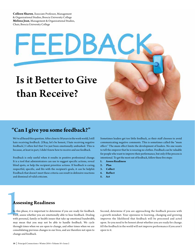**Colleen Sharen**, Àssociate Professor, Management & Organizational Studies, Brescia University College **Melissa Jean**, Management & Organizational Studies, Chair, Brescia University College

# Is it Better to Give than Receive?

FEEDBACI

# **"Can I give you some feedback?"**

We've all heard this question. After close to 30 years in the work world, I still hate receiving feedback. (Okay, let's be honest, I hate receiving negative feedback.) I often feel that I've just been emotionally ambushed. This is because, at least in part, I didn't know how to receive and use feedback.

Feedback is only useful when it results in positive professional change. It is a tool that administrators can use to suggest specific actions, reveal blind spots, or help the recipient prioritize actions. If feedback is caring, respectful, specific, and fits with the recipient's goals, it can be helpful. Feedback that doesn't meet these criteria can result in defensive reactions and dismissal of valid criticism.

Sometimes leaders get too little feedback, as their staff chooses to avoid communicating negative comments. This is sometimes called the "mum effect." The mum effect limits the development of leaders. No one wants to tell the emperor that he is wearing no clothes. Feedback can be valuable for people who want to improve their performance, but only if the process is intentional. To get the most out of feedback, follow these five steps:

- **1. Assess Readiness**
- **2. Plan**
- **3. Collect**
- **4. Reflect**
- **5. Act**

## **Assessing Readiness**

In this phase, it is important to determine if you are ready for feedback. First, assess whether you are emotionally able to hear feedback. Dealing with personal, family or health issues that take up emotional bandwidth, may mean that you may not be able to handle feedback. We cycle through times when we are open to change, and other times when we are consolidating previous changes in our lives, and are therefore not open to change and feedback.

Second, determine if you are approaching the feedback process with a growth mindset. Your openness to learning, changing and growing improves the likelihood that feedback will be processed and acted upon. So you need to be honest about whether you are ready for change. All the feedback in the world will not improve performance if you aren't open to it.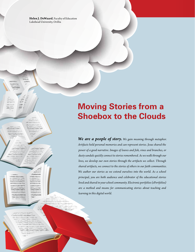**Helen J. DeWaard**, Faculty of Education Lakehead University, Orillia

# **Moving Stories from a Shoebox to the Clouds**

*We are a people of story. We gain meaning through metaphor. Artifacts hold personal memories and can represent stories. Jesus shared the power of a good narrative. Images of loaves and fish, vines and branches, or dusty sandals quickly connect to stories remembered. As we walk through our lives, we develop our own stories through the artifacts we collect. Through shared artifacts, we connect to the stories of others in our faith communities. We author our stories as we extend ourselves into the world. As a school principal, you are both audience and celebrator of the educational stories lived and shared in your school community. Electronic portfolios (ePortfolios) are a method and means for communicating stories about teaching and learning in this digital world.*

 $-\ -$ 

 $\overline{\phantom{a}}$  $=$  $\frac{1}{1000}$ 三

> ------

> > ----<del>--</del>-

 $=$  $=$  $\begin{tabular}{ll} \multicolumn{2}{c}{\textbf{2.1}} & \multicolumn{2}{c}{\textbf{2.1}} & \multicolumn{2}{c}{\textbf{2.1}} \\ \multicolumn{2}{c}{\textbf{2.1}} & \multicolumn{2}{c}{\textbf{2.1}} & \multicolumn{2}{c}{\textbf{2.1}} \\ \multicolumn{2}{c}{\textbf{3.1}} & \multicolumn{2}{c}{\textbf{4.1}} & \multicolumn{2}{c}{\textbf{5.1}} \\ \multicolumn{2}{c}{\textbf{5.1}} & \multicolumn{2}{c}{\textbf{6.1}} & \multicolumn{2}{c}{\textbf{7$  $\frac{1}{2}$ a matata -----------------------

 $\begin{minipage}{0.5\textwidth} \centering \begin{tabular}{|l|l|l|l|} \hline & \multicolumn{1}{|l|l|l|} \hline \multicolumn{1}{|l|l|} \hline \multicolumn{1}{|l|} \multicolumn{1}{|l|} \hline \multicolumn{1}{|l|} \multicolumn{1}{|l|} \multicolumn{1}{|l|} \hline \multicolumn{1}{|l|} \multicolumn{1}{|l|} \multicolumn{1}{|l|} \hline \multicolumn{1}{|l|} \multicolumn{1}{|l|} \hline \multicolumn{1}{|l|} \multicolumn{1}{|l|} \hline \mult$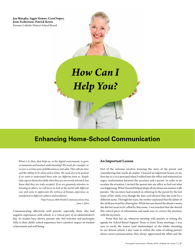**Jan Murphy, Aggie Nemes, Carol Soper, Joan Tschernow, Patrick Keyes** Toronto Catholic District School Board

# *How Can I Help You?*

# **Enhancing Home-School Communication**

*What is it, then, that helps us, in the digital environment, to grow in humanity and mutual understanding? We need, for example, to recover a certain sense of deliberateness and calm. This calls for time and the ability to be silent and to listen. We need also to be patient if we want to understand those who are different from us. People only express themselves fully when they are not merely tolerated, but know that they are truly accepted. If we are genuinely attentive in listening to others, we will learn to look at the world with different eyes and come to appreciate the richness of human experience as manifested in different cultures and traditions.*

> Pope Francis, 48th World Communications Day, June 1, 2014

Communicating effectively with parents, especially those who had negative experiences with school, is a critical part of an administrator's day. As studies have shown, parents who feel welcome and participate fully in their child's school experience have a positive impact on student achievement and well-being.

#### **An Important Lesson**

Part of the welcome involves knowing the story of the parent and remembering that words do matter. I learned an important lesson on my first day as a vice-principal when I walked into the office and witnessed an angry confrontation between the secretary and a parent. In order to deescalate the situation, I invited the parent into my office to find out what was happening. What I learned helped shape all my future encounters with parents. The secretary had insisted on referring to the parent by the last name of her child, even though the data card showed that she went by a different name. Through her tears, the mother explained that the father of the child was in jail for abusing her. While her son shared the abuser's name, she did not want to be called by that name. I was touched that she shared this critical piece of information and made sure to correct the situation with the secretary.

From that day on, whenever meeting with parents or setting the agenda for School-Based Support Team or Joint Team meetings, I was sure to verify the names (and relationships) of the adults attending. In our diverse school, I also came to realize the value of asking parents about correct pronunciation; they always appreciated the effort and the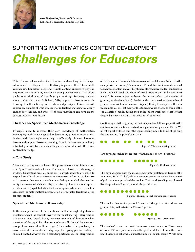

**Ann Kajander**, Faculty of Education Lakehead University, Thunder Bay, ON

# Supporting Mathematics Content Development *Challenges for Educators*

This is the second in a series of articles aimed at describing the challenges educators face as they strive to effectively implement the Ontario Math Curriculum. Educators' deep and flexible content knowledge plays an important role in building effective learning environments. The recent publication *Mathematical knowledge for teaching: Reasoning without memorization* (Kajander & Boland, 2014) supports classroom-specific learning of mathematics by both teachers and principals. This article will explore an example of what it means to understand mathematics deeply enough for teaching, and what effect such knowledge can have on the success of a classroom lesson.

#### **The Need for Specialized Mathematics Knowledge**

Principals need to increase their own knowledge of mathematics. Developing math knowledge and understanding provides instructional leaders with the insight necessary to effectively observe classroom lessons and support classroom teaching. Principals can enter more freely into dialogue with teachers when they are comfortable with their own content knowledge.

#### **A Case Study**

A teacher is leading a review lesson. It appears to have many of the features of a "good" mathematics lesson. The use of interactive technology is evident. Contextual practice questions to which students are asked to respond are offered on an interactive whiteboard. After the students try each question themselves, a student is called upon to click the board to verify the answer, which is also displayed visually. The students all appear involved and engaged. But while the lesson appears to be effective, a subtle issue with the mathematical interpretation later actually derails the lesson for some students.

#### **Specialized Mathematic Knowledge**

In this example lesson, all the questions resulted in single-step division problems, and all the contexts involved the "equal-sharing" interpretation of division. [The "equal-sharing" or *partitive* model of division involves questions of the type "Six cakes were to be equally divided between two groups, how many cakes did each get?"] In equal-sharing problems, the answer refers to the number *in* each group. [Each group gets *three* cakes.] It should be noted however, that a *second* important model or interpretation of division, sometimes called the *measurement* model, was *not* offered in the examples in the lesson. [A "measurement" model of division would be used to answer a problem such as "Eight slices of bread were used for sandwiches. Each sandwich used two slices of bread. How many sandwiches were made?"]. In measurement problems, the answer refers to the *number* of groups (not the size of each). [In the sandwiches question, the number of groups – sandwiches in this case – is *four*.] It might be expected then, in this sample lesson, that many of the students would choose to think of the "equal sharing" model during their independent work, since that is what they had just reviewed in all the white board questions.

Continuing with the vignette, the first independent follow-up question the children were asked to do was to draw a picture, using dots, of  $12 \div 6$ . We might expect children using the equal-sharing model to think of splitting the amount into "6 groups", and draw:



Two boys approached the teacher with the model shown in Figure 2:



The boys' diagram uses the measurement interpretation of division (the "how many 6's in 12" idea), which was not present in the review. Next, a pair of girl students approached the teacher. Their work (see Figure 3) looked like the previous (Figure 1) model of equal sharing.



Figure 3. The girls' model, showing equal sharing

The teacher then took a pen and "corrected" the girls' work to show two groups of six, to illustrate the  $12 \div 6$  (Figure 4).



The teacher's correction used the measurement model, or "how many 6's are in 12" interpretation, while the girls' work had followed the white board examples, all of which used the model of equal sharing. While both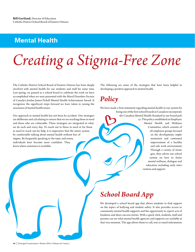# **Mental Health**

# *Creating a Stigma-Free Zone*

The Catholic District School Board of Eastern Ontario has been deeply involved with mental health for our students and staff for some time. Last spring, we paused as a school board to celebrate the work we have accomplished when we were presented with the Mood Disorders Society of Canada's Jordan James Pickell Mental Health Achievement Award. It recognizes the significant steps forward we have taken in raising the awareness of mental health issues.

Our approach to mental health has not been by accident. Our strategies are deliberate and calculating to ensure that we are reaching those in need and those who are vulnerable. These strategies are integrated in what we do each and every day. To reach out to those in need or for those in need to reach out for help, it is imperative that the entire system be comfortable talking about mental health without fear of stigma. By frequently speaking to the topic and issues, individuals have become more confident. They know where assistance is available.

The following are some of the strategies that have been helpful in developing a positive approach to mental health.

# *Policy*

We have made a firm statement regarding mental health in our system by

being one of the first school boards in Canada to incorporate the Canadian Mental Health Standard in our board policy. This policy established an Employee Mental Health and Wellness Committee, which consists of all employee groups focused on the development, implementation and continued improvement of a healthy and safe work environment. Through a variety of strategies, they advise our school system on how to foster mental wellness, dialogue and education including early intervention and support.

# *School Board App*

We developed a school board app that allows students to find support on the topics of bullying and student safety. It also provides access to community mental health supports and the opportunity to report acts of kindness and share success stories. With a quick click, students, staff and parents can see what mental health agencies and supports are available at that very moment. The app allows them to call, text or email information